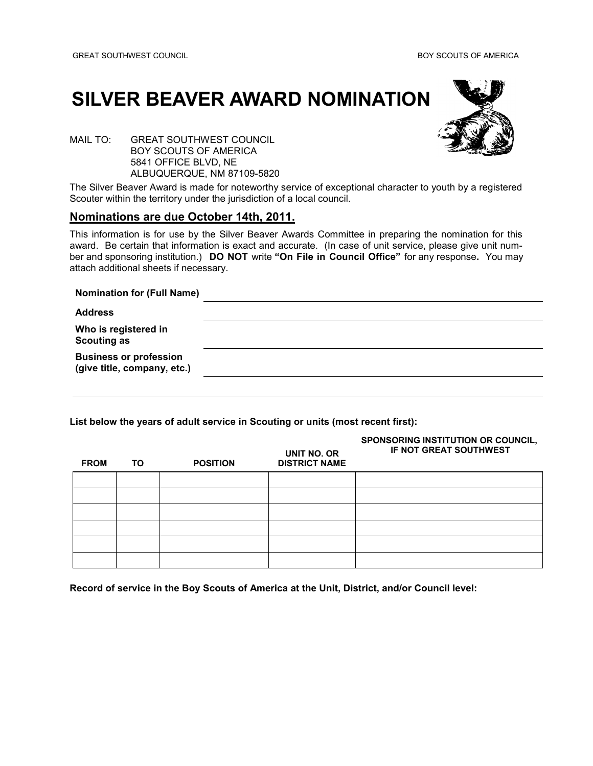## **SILVER BEAVER AWARD NOMINATION**



MAIL TO: GREAT SOUTHWEST COUNCIL BOY SCOUTS OF AMERICA 5841 OFFICE BLVD, NE ALBUQUERQUE, NM 87109-5820

The Silver Beaver Award is made for noteworthy service of exceptional character to youth by a registered Scouter within the territory under the jurisdiction of a local council.

## **Nominations are due October 14th, 2011.**

This information is for use by the Silver Beaver Awards Committee in preparing the nomination for this award. Be certain that information is exact and accurate. (In case of unit service, please give unit number and sponsoring institution.) **DO NOT** write **"On File in Council Office"** for any response**.** You may attach additional sheets if necessary.

| <b>Nomination for (Full Name)</b>                            |  |
|--------------------------------------------------------------|--|
| <b>Address</b>                                               |  |
| Who is registered in<br><b>Scouting as</b>                   |  |
| <b>Business or profession</b><br>(give title, company, etc.) |  |
|                                                              |  |

**List below the years of adult service in Scouting or units (most recent first):**

| <b>FROM</b> | ΤO | <b>POSITION</b> | UNIT NO. OR<br><b>DISTRICT NAME</b> | SPONSORING INSTITUTION OR COUNCIL,<br>IF NOT GREAT SOUTHWEST |
|-------------|----|-----------------|-------------------------------------|--------------------------------------------------------------|
|             |    |                 |                                     |                                                              |
|             |    |                 |                                     |                                                              |
|             |    |                 |                                     |                                                              |
|             |    |                 |                                     |                                                              |
|             |    |                 |                                     |                                                              |
|             |    |                 |                                     |                                                              |

**Record of service in the Boy Scouts of America at the Unit, District, and/or Council level:**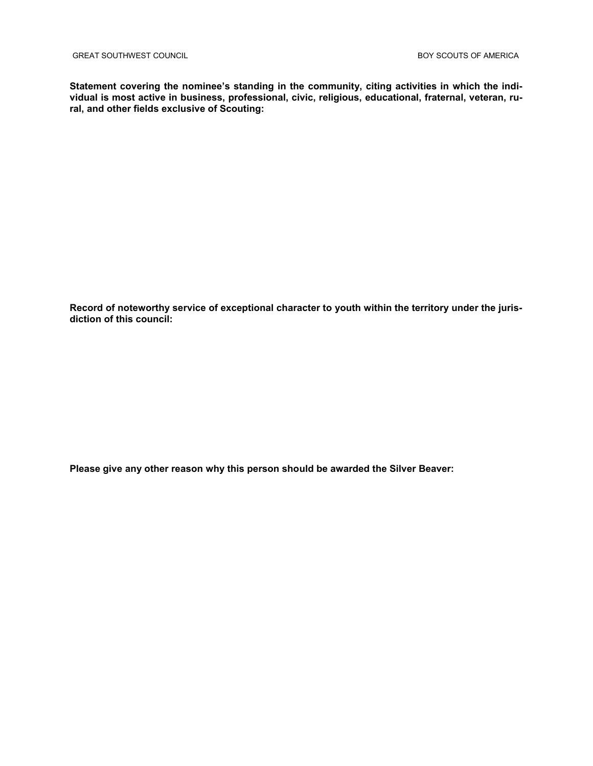**Statement covering the nominee's standing in the community, citing activities in which the individual is most active in business, professional, civic, religious, educational, fraternal, veteran, rural, and other fields exclusive of Scouting:** 

**Record of noteworthy service of exceptional character to youth within the territory under the jurisdiction of this council:**

**Please give any other reason why this person should be awarded the Silver Beaver:**